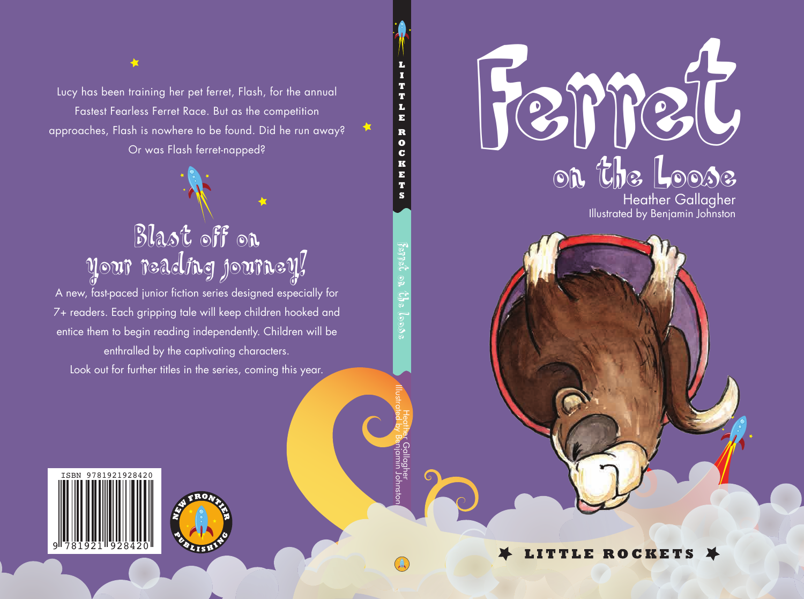

Illustrated by Benjamin Johnston

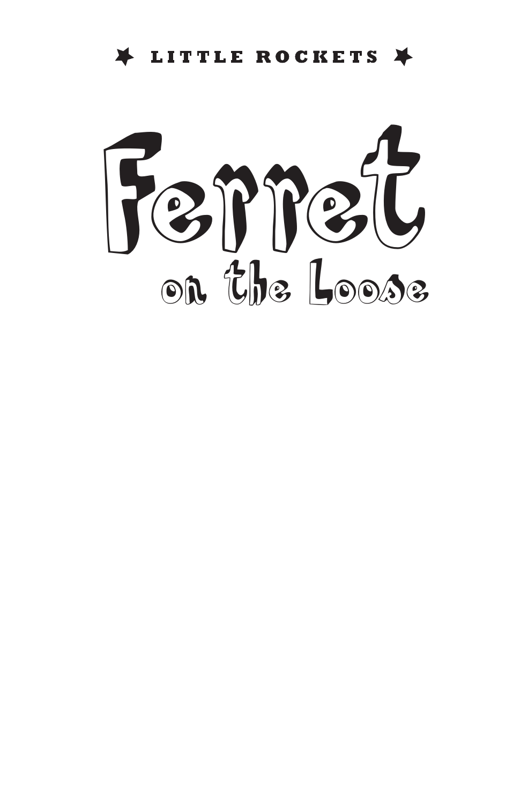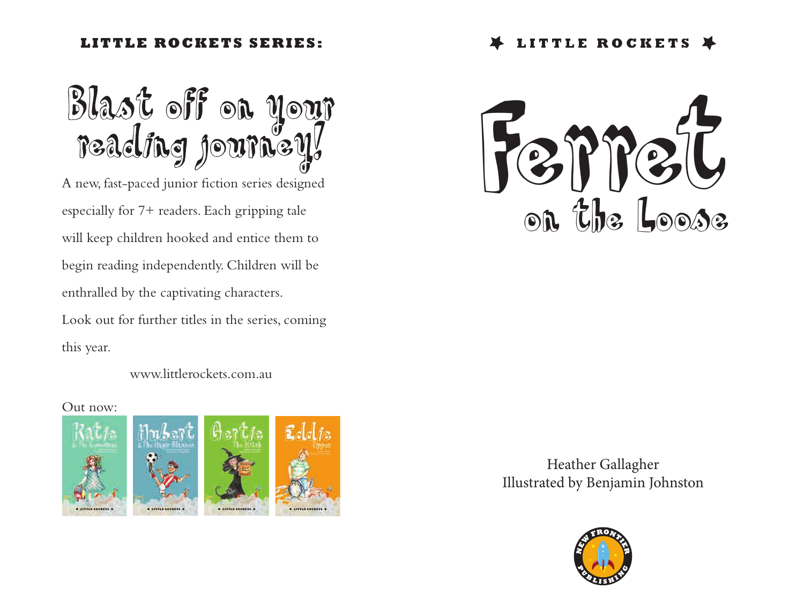## **LITTLE ROCKETS SERIES:**

Blast off on your<br>reading journey!

A new, fast-paced junior fiction series designed especially for 7+ readers. Each gripping tale will keep children hooked and entice them to begin reading independently. Children will be enthralled by the captivating characters.

Look out for further titles in the series, coming this year.

www.littlerockets.com.au

## Out now:





Heather Gallagher Illustrated by Benjamin Johnston

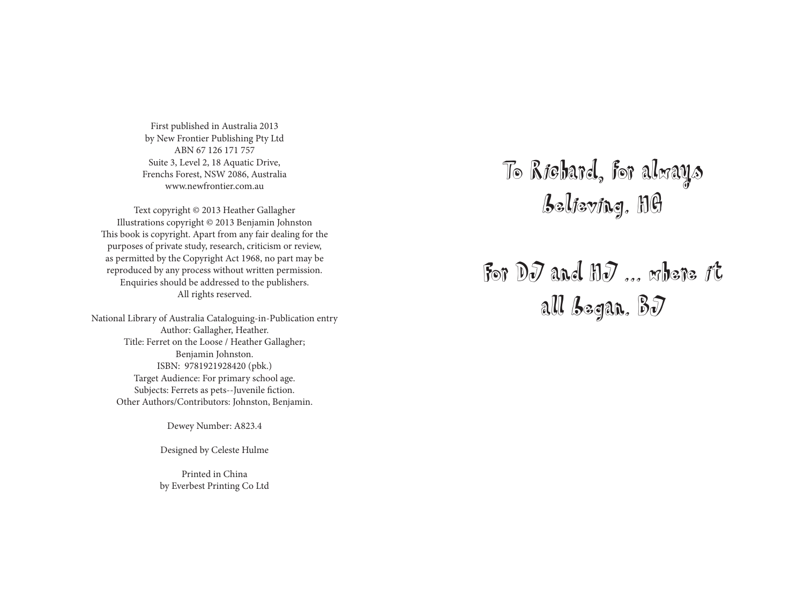First published in Australia 2013 by New Frontier Publishing Pty Ltd ABN 67 126 171 757 Suite 3, Level 2, 18 Aquatic Drive, Frenchs Forest, NSW 2086, Australia www.newfrontier.com.au

Text copyright © 2013 Heather Gallagher Illustrations copyright © 2013 Benjamin Johnston This book is copyright. Apart from any fair dealing for the purposes of private study, research, criticism or review, as permitted by the Copyright Act 1968, no part may be reproduced by any process without written permission. Enquiries should be addressed to the publishers. All rights reserved.

National Library of Australia Cataloguing-in-Publication entry Author: Gallagher, Heather. Title: Ferret on the Loose / Heather Gallagher; Benjamin Johnston. ISBN: 9781921928420 (pbk.) Target Audience: For primary school age. Subjects: Ferrets as pets--Juvenile fiction. Other Authors/Contributors: Johnston, Benjamin.

Dewey Number: A823.4

Designed by Celeste Hulme

Printed in China by Everbest Printing Co Ltd To Richard, for always believing. HG

For DJ and HJ ... where it all began. BJ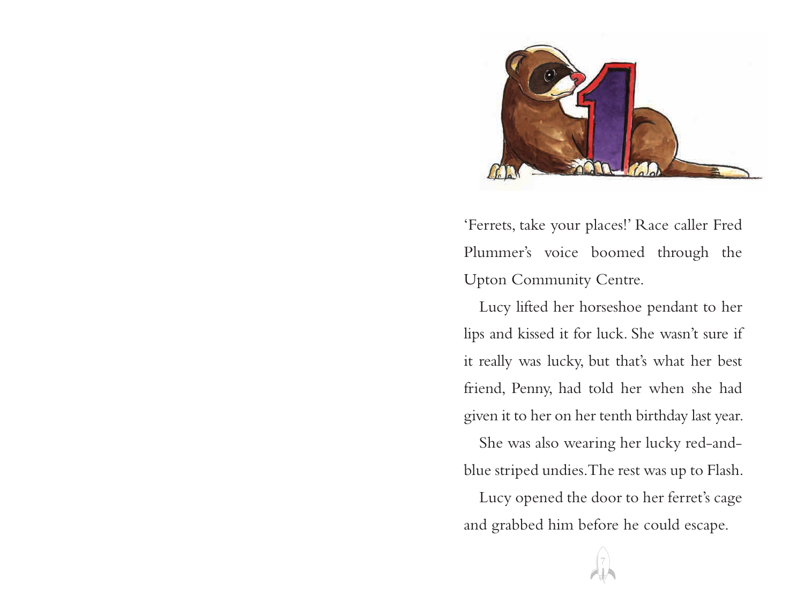

'Ferrets, take your places!' Race caller Fred Plummer's voice boomed through the Upton Community Centre.

Lucy lifted her horseshoe pendant to her lips and kissed it for luck. She wasn't sure if it really was lucky, but that's what her best friend, Penny, had told her when she had given it to her on her tenth birthday last year.

She was also wearing her lucky red-andblue striped undies. The rest was up to Flash.

Lucy opened the door to her ferret's cage and grabbed him before he could escape.

7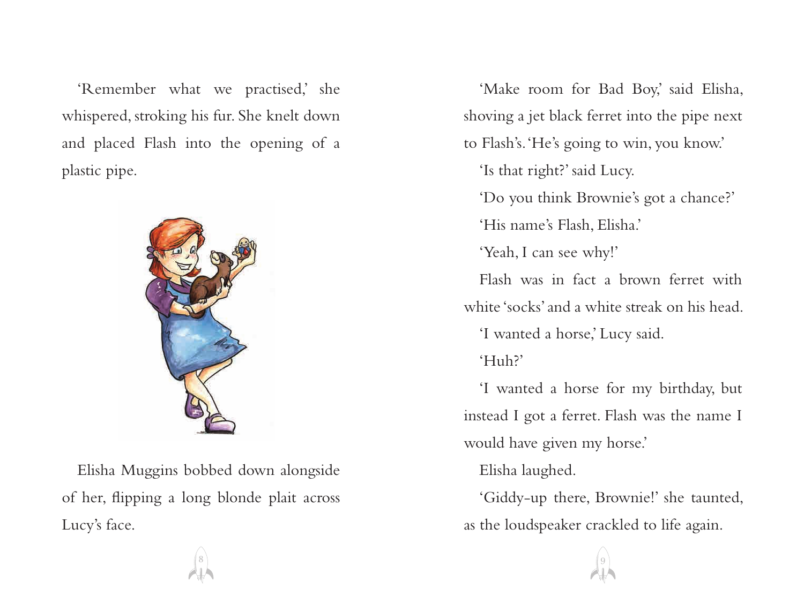'Remember what we practised,' she whispered, stroking his fur. She knelt down and placed Flash into the opening of a plastic pipe.



Elisha Muggins bobbed down alongside of her, flipping a long blonde plait across Lucy's face.

'Make room for Bad Boy,' said Elisha, shoving a jet black ferret into the pipe next to Flash's. 'He's going to win, you know.'

'Is that right?' said Lucy.

'Do you think Brownie's got a chance?'

'His name's Flash, Elisha.'

'Yeah, I can see why!'

Flash was in fact a brown ferret with white 'socks' and a white streak on his head. 'I wanted a horse,' Lucy said.

'Huh?'

'I wanted a horse for my birthday, but instead I got a ferret. Flash was the name I would have given my horse.'

Elisha laughed.

'Giddy-up there, Brownie!' she taunted, as the loudspeaker crackled to life again.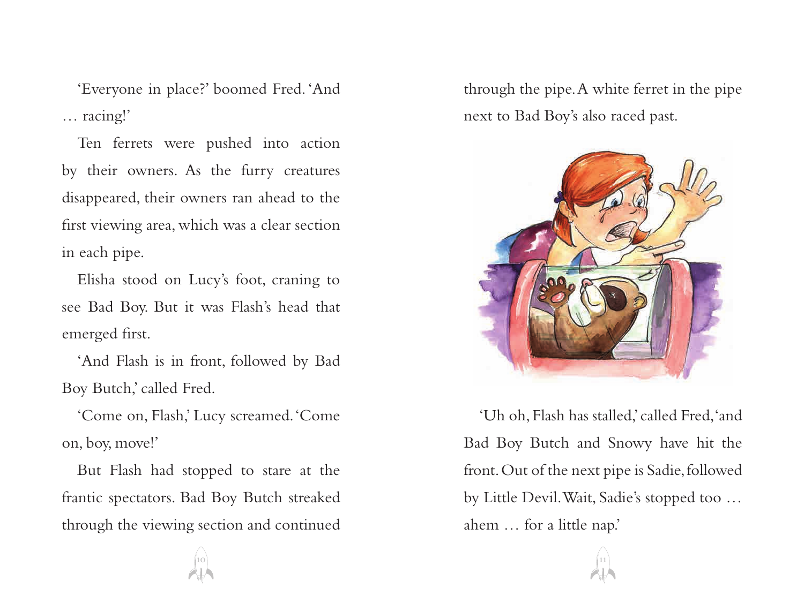'Everyone in place?' boomed Fred. 'And … racing!'

Ten ferrets were pushed into action by their owners. As the furry creatures disappeared, their owners ran ahead to the first viewing area, which was a clear section in each pipe.

Elisha stood on Lucy's foot, craning to see Bad Boy. But it was Flash's head that emerged first.

'And Flash is in front, followed by Bad Boy Butch,' called Fred.

'Come on, Flash,' Lucy screamed. 'Come on, boy, move!'

But Flash had stopped to stare at the frantic spectators. Bad Boy Butch streaked through the viewing section and continued through the pipe. A white ferret in the pipe next to Bad Boy's also raced past.



'Uh oh, Flash has stalled,' called Fred, 'and Bad Boy Butch and Snowy have hit the front. Out of the next pipe is Sadie, followed by Little Devil. Wait, Sadie's stopped too … ahem … for a little nap.'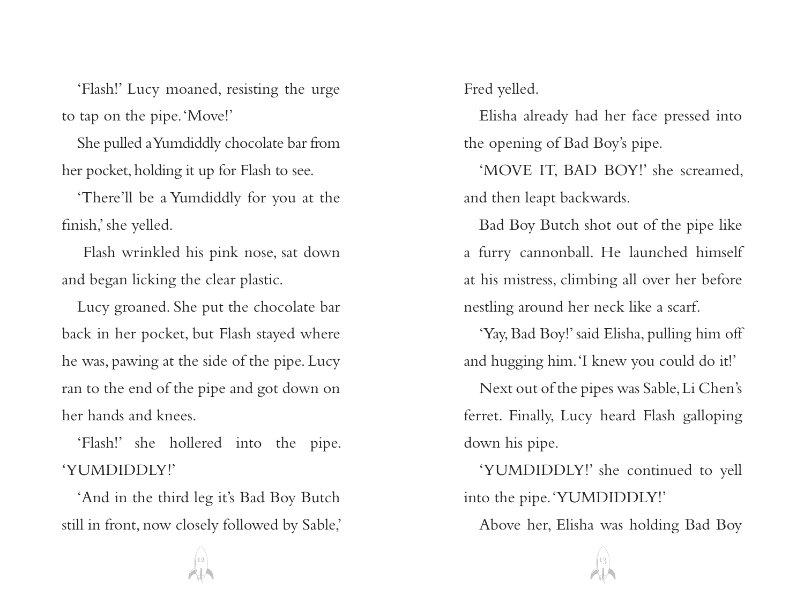'Flash!' Lucy moaned, resisting the urge to tap on the pipe. 'Move!'

She pulled a Yumdiddly chocolate bar from her pocket, holding it up for Flash to see.

'There'll be a Yumdiddly for you at the finish,' she yelled.

 Flash wrinkled his pink nose, sat down and began licking the clear plastic.

Lucy groaned. She put the chocolate bar back in her pocket, but Flash stayed where he was, pawing at the side of the pipe. Lucy ran to the end of the pipe and got down on her hands and knees.

'Flash!' she hollered into the pipe. 'YUMDIDDLY!'

'And in the third leg it's Bad Boy Butch still in front, now closely followed by Sable,' Fred yelled.

Elisha already had her face pressed into the opening of Bad Boy's pipe.

'MOVE IT, BAD BOY!' she screamed, and then leapt backwards.

Bad Boy Butch shot out of the pipe like a furry cannonball. He launched himself at his mistress, climbing all over her before nestling around her neck like a scarf.

'Yay, Bad Boy!' said Elisha, pulling him off and hugging him. 'I knew you could do it!'

Next out of the pipes was Sable, Li Chen's ferret. Finally, Lucy heard Flash galloping down his pipe.

'YUMDIDDLY!' she continued to yell into the pipe. 'YUMDIDDLY!'

Above her, Elisha was holding Bad Boy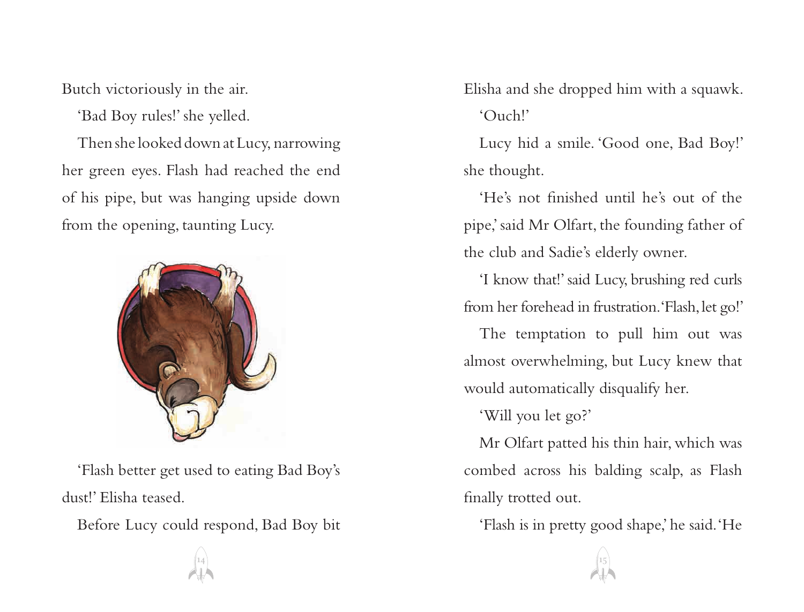Butch victoriously in the air.

'Bad Boy rules!' she yelled.

Then she looked down at Lucy, narrowing her green eyes. Flash had reached the end of his pipe, but was hanging upside down from the opening, taunting Lucy.



'Flash better get used to eating Bad Boy's dust!' Elisha teased.

Before Lucy could respond, Bad Boy bit

Elisha and she dropped him with a squawk. 'Ouch!'

Lucy hid a smile. 'Good one, Bad Boy!' she thought.

'He's not finished until he's out of the pipe,' said Mr Olfart, the founding father of the club and Sadie's elderly owner.

'I know that!' said Lucy, brushing red curls from her forehead in frustration. 'Flash, let go!'

The temptation to pull him out was almost overwhelming, but Lucy knew that would automatically disqualify her.

'Will you let go?'

Mr Olfart patted his thin hair, which was combed across his balding scalp, as Flash finally trotted out.

'Flash is in pretty good shape,' he said. 'He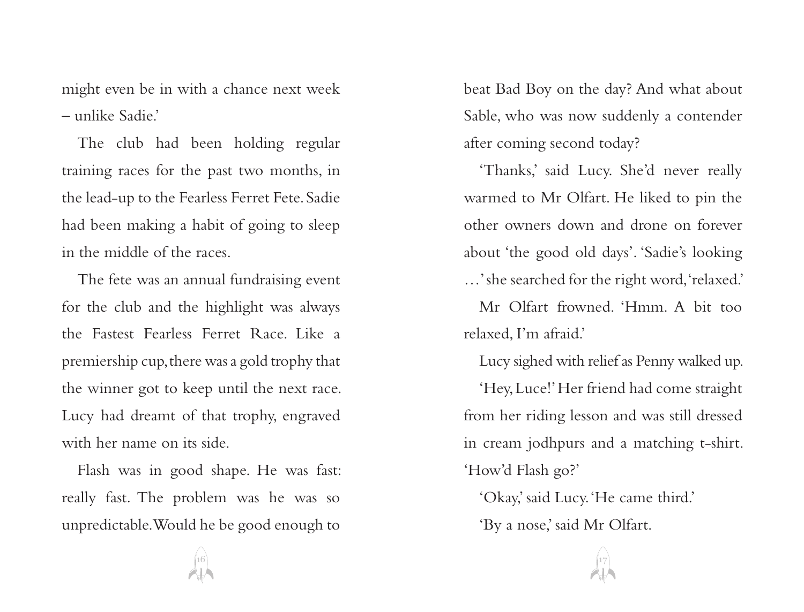might even be in with a chance next week – unlike Sadie.'

The club had been holding regular training races for the past two months, in the lead-up to the Fearless Ferret Fete. Sadie had been making a habit of going to sleep in the middle of the races.

The fete was an annual fundraising event for the club and the highlight was always the Fastest Fearless Ferret Race. Like a premiership cup, there was a gold trophy that the winner got to keep until the next race. Lucy had dreamt of that trophy, engraved with her name on its side.

Flash was in good shape. He was fast: really fast. The problem was he was so unpredictable. Would he be good enough to

beat Bad Boy on the day? And what about Sable, who was now suddenly a contender after coming second today?

'Thanks,' said Lucy. She'd never really warmed to Mr Olfart. He liked to pin the other owners down and drone on forever about 'the good old days'. 'Sadie's looking …' she searched for the right word, 'relaxed.'

Mr Olfart frowned. 'Hmm. A bit too relaxed, I'm afraid.'

Lucy sighed with relief as Penny walked up.

'Hey, Luce!' Her friend had come straight from her riding lesson and was still dressed in cream jodhpurs and a matching t-shirt. 'How'd Flash go?'

'Okay,' said Lucy. 'He came third.' 'By a nose,' said Mr Olfart.